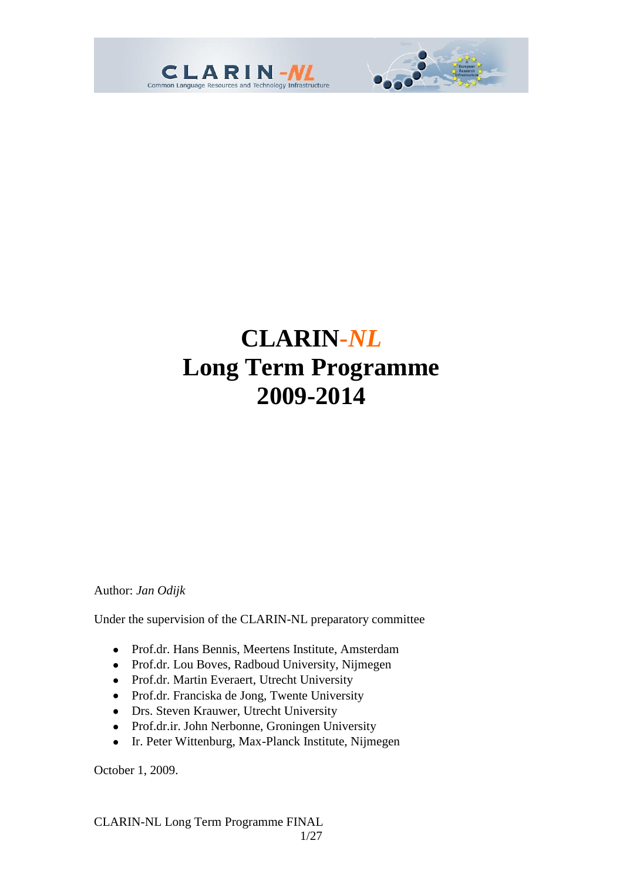



# **CLARIN-***NL* **Long Term Programme 2009-2014**

Author: *Jan Odijk*

Under the supervision of the CLARIN-NL preparatory committee

- Prof.dr. Hans Bennis, Meertens Institute, Amsterdam
- Prof.dr. Lou Boves, Radboud University, Nijmegen
- Prof.dr. Martin Everaert, Utrecht University
- Prof.dr. Franciska de Jong, Twente University
- Drs. Steven Krauwer, Utrecht University
- Prof.dr.ir. John Nerbonne, Groningen University
- Ir. Peter Wittenburg, Max-Planck Institute, Nijmegen

October 1, 2009.

CLARIN-NL Long Term Programme FINAL 1/27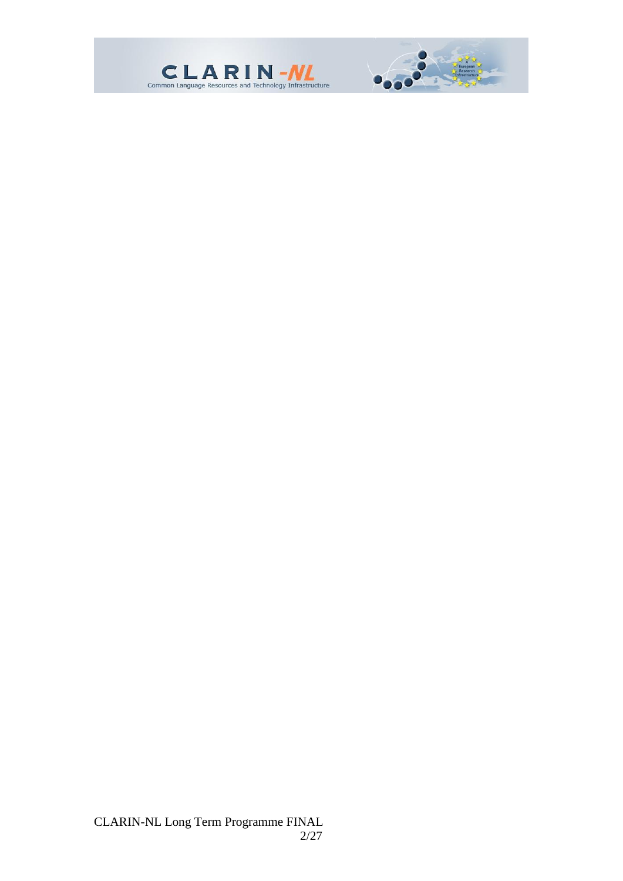

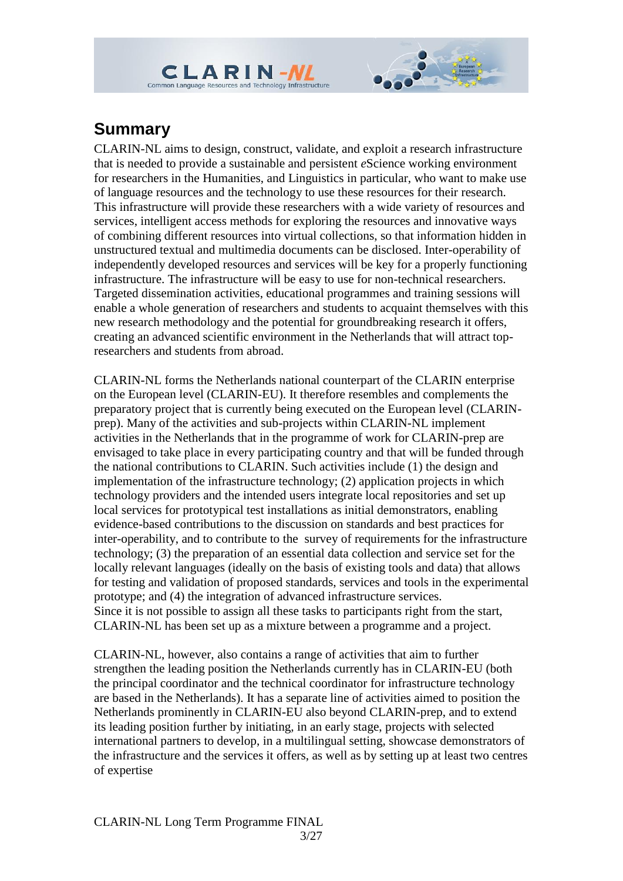

### <span id="page-2-0"></span>**Summary**

CLARIN-NL aims to design, construct, validate, and exploit a research infrastructure that is needed to provide a sustainable and persistent *e*Science working environment for researchers in the Humanities, and Linguistics in particular, who want to make use of language resources and the technology to use these resources for their research. This infrastructure will provide these researchers with a wide variety of resources and services, intelligent access methods for exploring the resources and innovative ways of combining different resources into virtual collections, so that information hidden in unstructured textual and multimedia documents can be disclosed. Inter-operability of independently developed resources and services will be key for a properly functioning infrastructure. The infrastructure will be easy to use for non-technical researchers. Targeted dissemination activities, educational programmes and training sessions will enable a whole generation of researchers and students to acquaint themselves with this new research methodology and the potential for groundbreaking research it offers, creating an advanced scientific environment in the Netherlands that will attract topresearchers and students from abroad.

CLARIN-NL forms the Netherlands national counterpart of the CLARIN enterprise on the European level (CLARIN-EU). It therefore resembles and complements the preparatory project that is currently being executed on the European level (CLARINprep). Many of the activities and sub-projects within CLARIN-NL implement activities in the Netherlands that in the programme of work for CLARIN-prep are envisaged to take place in every participating country and that will be funded through the national contributions to CLARIN. Such activities include (1) the design and implementation of the infrastructure technology; (2) application projects in which technology providers and the intended users integrate local repositories and set up local services for prototypical test installations as initial demonstrators, enabling evidence-based contributions to the discussion on standards and best practices for inter-operability, and to contribute to the survey of requirements for the infrastructure technology; (3) the preparation of an essential data collection and service set for the locally relevant languages (ideally on the basis of existing tools and data) that allows for testing and validation of proposed standards, services and tools in the experimental prototype; and (4) the integration of advanced infrastructure services. Since it is not possible to assign all these tasks to participants right from the start, CLARIN-NL has been set up as a mixture between a programme and a project.

CLARIN-NL, however, also contains a range of activities that aim to further strengthen the leading position the Netherlands currently has in CLARIN-EU (both the principal coordinator and the technical coordinator for infrastructure technology are based in the Netherlands). It has a separate line of activities aimed to position the Netherlands prominently in CLARIN-EU also beyond CLARIN-prep, and to extend its leading position further by initiating, in an early stage, projects with selected international partners to develop, in a multilingual setting, showcase demonstrators of the infrastructure and the services it offers, as well as by setting up at least two centres of expertise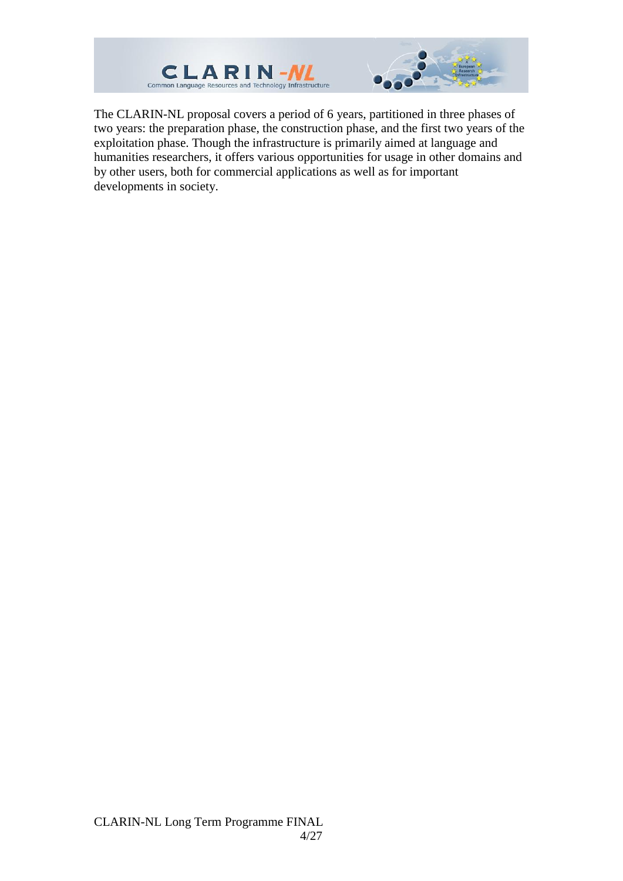

The CLARIN-NL proposal covers a period of 6 years, partitioned in three phases of two years: the preparation phase, the construction phase, and the first two years of the exploitation phase. Though the infrastructure is primarily aimed at language and humanities researchers, it offers various opportunities for usage in other domains and by other users, both for commercial applications as well as for important developments in society.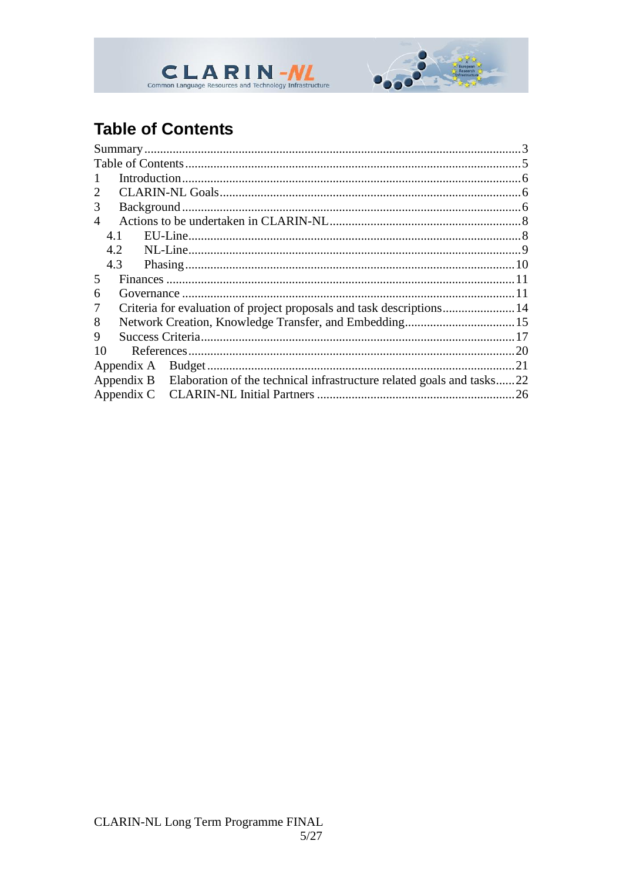



# <span id="page-4-0"></span>**Table of Contents**

| 2                                                                                |
|----------------------------------------------------------------------------------|
| 3                                                                                |
| $\overline{A}$                                                                   |
| 4.1                                                                              |
| 4.2                                                                              |
| 4.3                                                                              |
| 5                                                                                |
| 6                                                                                |
| Criteria for evaluation of project proposals and task descriptions 14<br>7       |
| 8                                                                                |
| 9                                                                                |
| 10<br>.20                                                                        |
| 21                                                                               |
| Appendix B Elaboration of the technical infrastructure related goals and tasks22 |
|                                                                                  |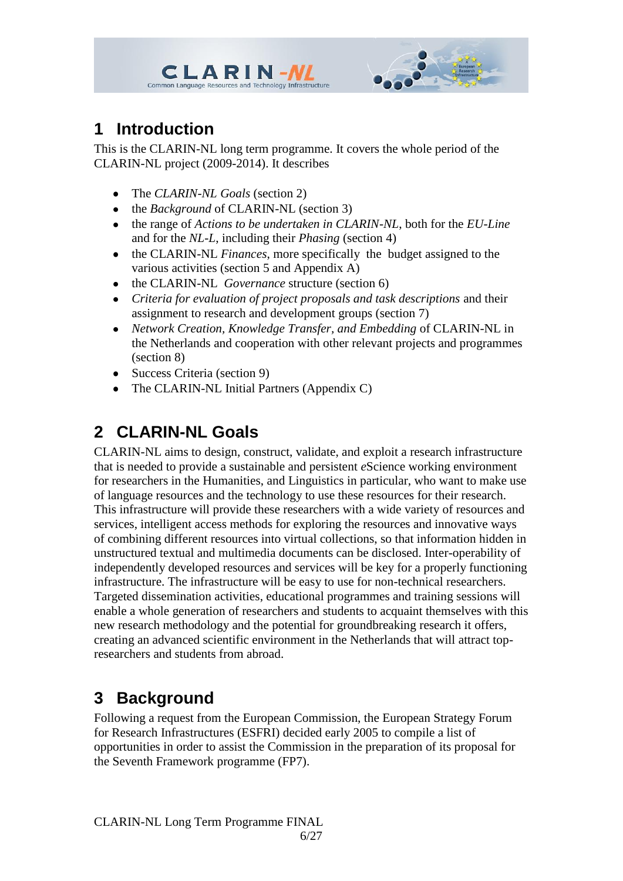



### <span id="page-5-0"></span>**1 Introduction**

This is the CLARIN-NL long term programme. It covers the whole period of the CLARIN-NL project (2009-2014). It describes

- The *[CLARIN-NL Goals](#page-5-1)* (section [2\)](#page-5-1)  $\bullet$
- the *[Background](#page-5-2)* of CLARIN-NL (section [3\)](#page-5-2)  $\bullet$
- the range of *[Actions to be undertaken in CLARIN-NL](#page-7-0)*, both for the *[EU-Line](#page-7-1)* and for the *[NL-L](#page-8-0)*, including their *[Phasing](#page-9-0)* (section [4\)](#page-7-0)
- the CLARIN-NL *[Finances](#page-10-0)*, more specifically the budget assigned to the  $\bullet$ various activities (section [5](#page-10-0) and [Appendix A\)](#page-20-0)
- the CLARIN-NL *[Governance](#page-10-1)* structure (section [6\)](#page-10-1)  $\bullet$
- *[Criteria for evaluation of project proposals and task descriptions](#page-13-0)* and their  $\bullet$ assignment to research and development groups (section [7\)](#page-13-0)
- $\bullet$ *[Network Creation, Knowledge Transfer, and Embedding](#page-14-0)* of CLARIN-NL in the Netherlands and cooperation with other relevant projects and programmes (section [8\)](#page-14-0)
- Success Criteria (section [9\)](#page-16-0)
- The CLARIN-NL Initial Partners [\(Appendix C\)](#page-25-0)

### <span id="page-5-1"></span>**2 CLARIN-NL Goals**

CLARIN-NL aims to design, construct, validate, and exploit a research infrastructure that is needed to provide a sustainable and persistent *e*Science working environment for researchers in the Humanities, and Linguistics in particular, who want to make use of language resources and the technology to use these resources for their research. This infrastructure will provide these researchers with a wide variety of resources and services, intelligent access methods for exploring the resources and innovative ways of combining different resources into virtual collections, so that information hidden in unstructured textual and multimedia documents can be disclosed. Inter-operability of independently developed resources and services will be key for a properly functioning infrastructure. The infrastructure will be easy to use for non-technical researchers. Targeted dissemination activities, educational programmes and training sessions will enable a whole generation of researchers and students to acquaint themselves with this new research methodology and the potential for groundbreaking research it offers, creating an advanced scientific environment in the Netherlands that will attract topresearchers and students from abroad.

### <span id="page-5-2"></span>**3 Background**

Following a request from the European Commission, the European Strategy Forum for Research Infrastructures (ESFRI) decided early 2005 to compile a list of opportunities in order to assist the Commission in the preparation of its proposal for the Seventh Framework programme (FP7).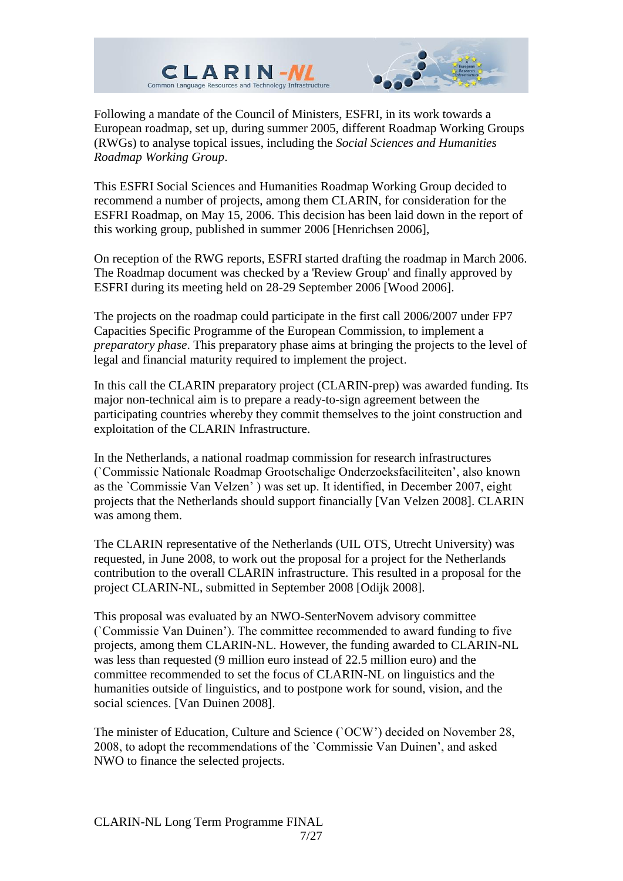



Following a mandate of the Council of Ministers, ESFRI, in its work towards a European roadmap, set up, during summer 2005, different Roadmap Working Groups (RWGs) to analyse topical issues, including the *Social Sciences and Humanities Roadmap Working Group*.

This ESFRI Social Sciences and Humanities Roadmap Working Group decided to recommend a number of projects, among them CLARIN, for consideration for the ESFRI Roadmap, on May 15, 2006. This decision has been laid down in the report of this working group, published in summer 2006 [Henrichsen 2006],

On reception of the RWG reports, ESFRI started drafting the roadmap in March 2006. The Roadmap document was checked by a 'Review Group' and finally approved by ESFRI during its meeting held on 28-29 September 2006 [Wood 2006].

The projects on the roadmap could participate in the first call 2006/2007 under FP7 Capacities Specific Programme of the European Commission, to implement a *preparatory phase*. This preparatory phase aims at bringing the projects to the level of legal and financial maturity required to implement the project.

In this call the CLARIN preparatory project (CLARIN-prep) was awarded funding. Its major non-technical aim is to prepare a ready-to-sign agreement between the participating countries whereby they commit themselves to the joint construction and exploitation of the CLARIN Infrastructure.

In the Netherlands, a national roadmap commission for research infrastructures (`Commissie Nationale Roadmap Grootschalige Onderzoeksfaciliteiten", also known as the `Commissie Van Velzen" ) was set up. It identified, in December 2007, eight projects that the Netherlands should support financially [Van Velzen 2008]. CLARIN was among them.

The CLARIN representative of the Netherlands (UIL OTS, Utrecht University) was requested, in June 2008, to work out the proposal for a project for the Netherlands contribution to the overall CLARIN infrastructure. This resulted in a proposal for the project CLARIN-NL, submitted in September 2008 [Odijk 2008].

This proposal was evaluated by an NWO-SenterNovem advisory committee (`Commissie Van Duinen"). The committee recommended to award funding to five projects, among them CLARIN-NL. However, the funding awarded to CLARIN-NL was less than requested (9 million euro instead of 22.5 million euro) and the committee recommended to set the focus of CLARIN-NL on linguistics and the humanities outside of linguistics, and to postpone work for sound, vision, and the social sciences. [Van Duinen 2008].

The minister of Education, Culture and Science (`OCW") decided on November 28, 2008, to adopt the recommendations of the `Commissie Van Duinen", and asked NWO to finance the selected projects.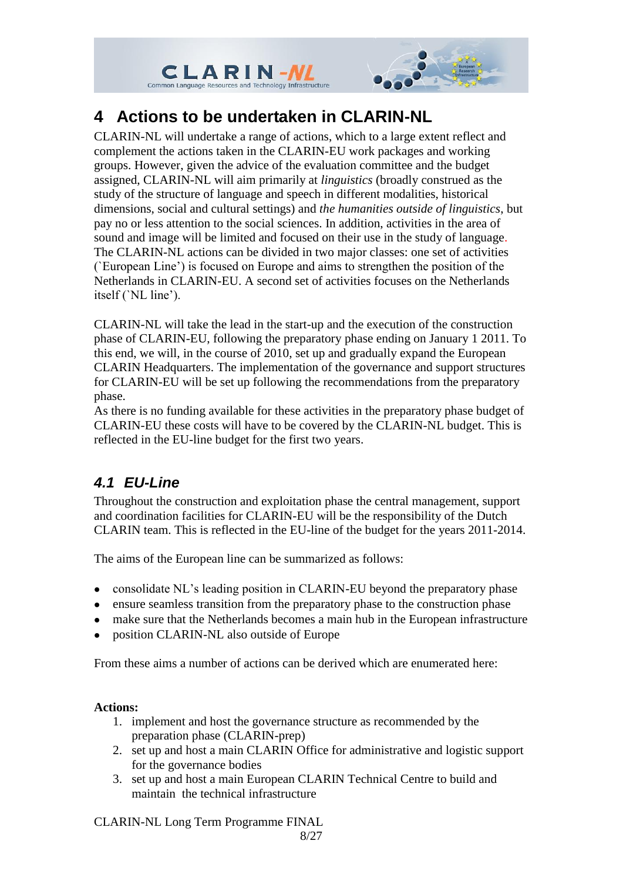



### <span id="page-7-0"></span>**4 Actions to be undertaken in CLARIN-NL**

CLARIN-NL will undertake a range of actions, which to a large extent reflect and complement the actions taken in the CLARIN-EU work packages and working groups. However, given the advice of the evaluation committee and the budget assigned, CLARIN-NL will aim primarily at *linguistics* (broadly construed as the study of the structure of language and speech in different modalities, historical dimensions, social and cultural settings) and *the humanities outside of linguistics*, but pay no or less attention to the social sciences. In addition, activities in the area of sound and image will be limited and focused on their use in the study of language. The CLARIN-NL actions can be divided in two major classes: one set of activities (`European Line") is focused on Europe and aims to strengthen the position of the Netherlands in CLARIN-EU. A second set of activities focuses on the Netherlands itself (`NL line').

CLARIN-NL will take the lead in the start-up and the execution of the construction phase of CLARIN-EU, following the preparatory phase ending on January 1 2011. To this end, we will, in the course of 2010, set up and gradually expand the European CLARIN Headquarters. The implementation of the governance and support structures for CLARIN-EU will be set up following the recommendations from the preparatory phase.

As there is no funding available for these activities in the preparatory phase budget of CLARIN-EU these costs will have to be covered by the CLARIN-NL budget. This is reflected in the EU-line budget for the first two years.

### <span id="page-7-1"></span>*4.1 EU-Line*

Throughout the construction and exploitation phase the central management, support and coordination facilities for CLARIN-EU will be the responsibility of the Dutch CLARIN team. This is reflected in the EU-line of the budget for the years 2011-2014.

The aims of the European line can be summarized as follows:

- consolidate NL's leading position in CLARIN-EU beyond the preparatory phase
- ensure seamless transition from the preparatory phase to the construction phase
- make sure that the Netherlands becomes a main hub in the European infrastructure
- position CLARIN-NL also outside of Europe

From these aims a number of actions can be derived which are enumerated here:

#### **Actions:**

- 1. implement and host the governance structure as recommended by the preparation phase (CLARIN-prep)
- 2. set up and host a main CLARIN Office for administrative and logistic support for the governance bodies
- 3. set up and host a main European CLARIN Technical Centre to build and maintain the technical infrastructure

CLARIN-NL Long Term Programme FINAL 8/27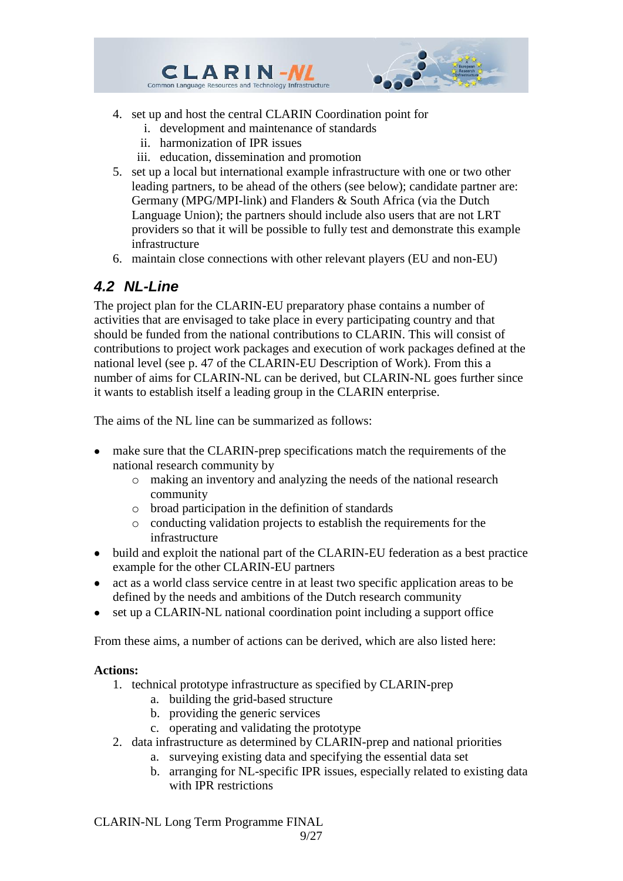

- 4. set up and host the central CLARIN Coordination point for
	- i. development and maintenance of standards
	- ii. harmonization of IPR issues
	- iii. education, dissemination and promotion

CLARIN-*NL* 

- 5. set up a local but international example infrastructure with one or two other leading partners, to be ahead of the others (see below); candidate partner are: Germany (MPG/MPI-link) and Flanders & South Africa (via the Dutch Language Union); the partners should include also users that are not LRT providers so that it will be possible to fully test and demonstrate this example infrastructure
- 6. maintain close connections with other relevant players (EU and non-EU)

#### <span id="page-8-0"></span>*4.2 NL-Line*

The project plan for the CLARIN-EU preparatory phase contains a number of activities that are envisaged to take place in every participating country and that should be funded from the national contributions to CLARIN. This will consist of contributions to project work packages and execution of work packages defined at the national level (see p. 47 of the CLARIN-EU Description of Work). From this a number of aims for CLARIN-NL can be derived, but CLARIN-NL goes further since it wants to establish itself a leading group in the CLARIN enterprise.

The aims of the NL line can be summarized as follows:

- make sure that the CLARIN-prep specifications match the requirements of the national research community by
	- o making an inventory and analyzing the needs of the national research community
	- o broad participation in the definition of standards
	- o conducting validation projects to establish the requirements for the infrastructure
- build and exploit the national part of the CLARIN-EU federation as a best practice example for the other CLARIN-EU partners
- act as a world class service centre in at least two specific application areas to be  $\bullet$ defined by the needs and ambitions of the Dutch research community
- set up a CLARIN-NL national coordination point including a support office  $\bullet$

From these aims, a number of actions can be derived, which are also listed here:

#### **Actions:**

- 1. technical prototype infrastructure as specified by CLARIN-prep
	- a. building the grid-based structure
	- b. providing the generic services
	- c. operating and validating the prototype
- 2. data infrastructure as determined by CLARIN-prep and national priorities
	- a. surveying existing data and specifying the essential data set
	- b. arranging for NL-specific IPR issues, especially related to existing data with IPR restrictions

CLARIN-NL Long Term Programme FINAL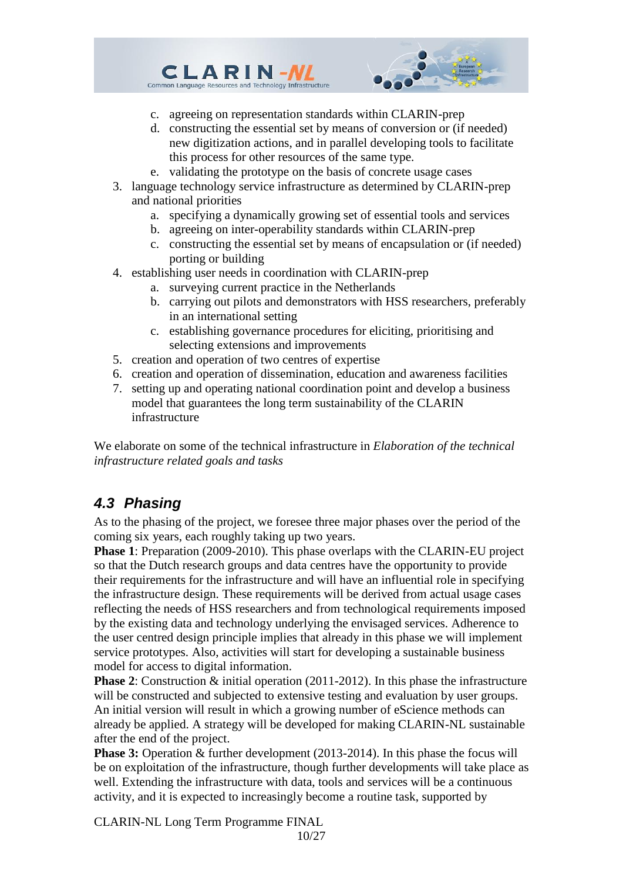



- c. agreeing on representation standards within CLARIN-prep
- d. constructing the essential set by means of conversion or (if needed) new digitization actions, and in parallel developing tools to facilitate this process for other resources of the same type.
- e. validating the prototype on the basis of concrete usage cases
- 3. language technology service infrastructure as determined by CLARIN-prep and national priorities
	- a. specifying a dynamically growing set of essential tools and services
	- b. agreeing on inter-operability standards within CLARIN-prep
	- c. constructing the essential set by means of encapsulation or (if needed) porting or building
- 4. establishing user needs in coordination with CLARIN-prep
	- a. surveying current practice in the Netherlands
	- b. carrying out pilots and demonstrators with HSS researchers, preferably in an international setting
	- c. establishing governance procedures for eliciting, prioritising and selecting extensions and improvements
- 5. creation and operation of two centres of expertise
- 6. creation and operation of dissemination, education and awareness facilities
- 7. setting up and operating national coordination point and develop a business model that guarantees the long term sustainability of the CLARIN infrastructure

We elaborate on some of the technical infrastructure in *[Elaboration of the technical](#page-21-0)  [infrastructure related goals and tasks](#page-21-0)*

#### <span id="page-9-0"></span>*4.3 Phasing*

As to the phasing of the project, we foresee three major phases over the period of the coming six years, each roughly taking up two years.

**Phase 1**: Preparation (2009-2010). This phase overlaps with the CLARIN-EU project so that the Dutch research groups and data centres have the opportunity to provide their requirements for the infrastructure and will have an influential role in specifying the infrastructure design. These requirements will be derived from actual usage cases reflecting the needs of HSS researchers and from technological requirements imposed by the existing data and technology underlying the envisaged services. Adherence to the user centred design principle implies that already in this phase we will implement service prototypes. Also, activities will start for developing a sustainable business model for access to digital information.

**Phase 2**: Construction & initial operation (2011-2012). In this phase the infrastructure will be constructed and subjected to extensive testing and evaluation by user groups. An initial version will result in which a growing number of eScience methods can already be applied. A strategy will be developed for making CLARIN-NL sustainable after the end of the project.

**Phase 3:** Operation & further development (2013-2014). In this phase the focus will be on exploitation of the infrastructure, though further developments will take place as well. Extending the infrastructure with data, tools and services will be a continuous activity, and it is expected to increasingly become a routine task, supported by

CLARIN-NL Long Term Programme FINAL 10/27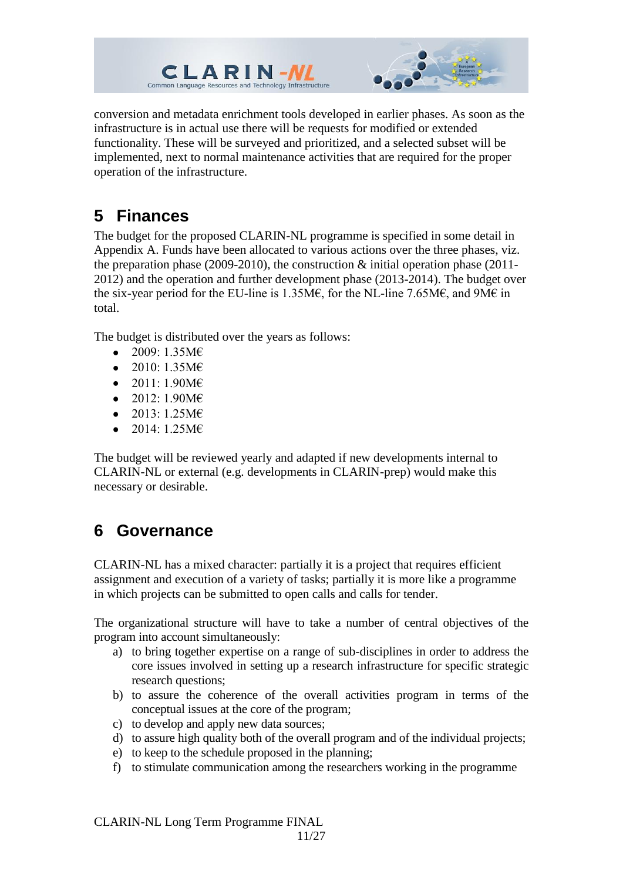

conversion and metadata enrichment tools developed in earlier phases. As soon as the infrastructure is in actual use there will be requests for modified or extended functionality. These will be surveyed and prioritized, and a selected subset will be implemented, next to normal maintenance activities that are required for the proper operation of the infrastructure.

### <span id="page-10-0"></span>**5 Finances**

The budget for the proposed CLARIN-NL programme is specified in some detail in Appendix A. Funds have been allocated to various actions over the three phases, viz. the preparation phase (2009-2010), the construction  $\&$  initial operation phase (2011-2012) and the operation and further development phase (2013-2014). The budget over the six-year period for the EU-line is 1.35M€, for the NL-line 7.65M€, and 9M€ in total.

The budget is distributed over the years as follows:

- 2009: 1.35M€  $\bullet$
- 2010: 1.35 $M \in$
- 2011: 1.90 $M \in$
- $2012: 1.90M \in$
- 2013: 1.25M€
- 2014: 1.25M€  $\bullet$

The budget will be reviewed yearly and adapted if new developments internal to CLARIN-NL or external (e.g. developments in CLARIN-prep) would make this necessary or desirable.

### <span id="page-10-1"></span>**6 Governance**

CLARIN-NL has a mixed character: partially it is a project that requires efficient assignment and execution of a variety of tasks; partially it is more like a programme in which projects can be submitted to open calls and calls for tender.

The organizational structure will have to take a number of central objectives of the program into account simultaneously:

- a) to bring together expertise on a range of sub-disciplines in order to address the core issues involved in setting up a research infrastructure for specific strategic research questions;
- b) to assure the coherence of the overall activities program in terms of the conceptual issues at the core of the program;
- c) to develop and apply new data sources;
- d) to assure high quality both of the overall program and of the individual projects;
- e) to keep to the schedule proposed in the planning;
- f) to stimulate communication among the researchers working in the programme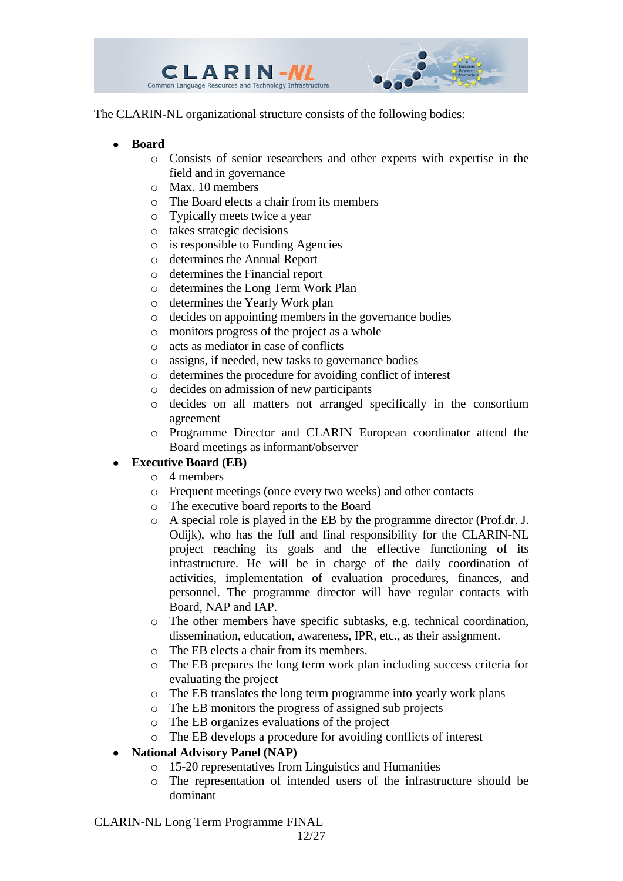

The CLARIN-NL organizational structure consists of the following bodies:

- **Board**
	- o Consists of senior researchers and other experts with expertise in the field and in governance
	- o Max. 10 members
	- o The Board elects a chair from its members
	- o Typically meets twice a year
	- o takes strategic decisions
	- o is responsible to Funding Agencies
	- o determines the Annual Report
	- o determines the Financial report
	- o determines the Long Term Work Plan
	- o determines the Yearly Work plan
	- o decides on appointing members in the governance bodies
	- o monitors progress of the project as a whole
	- o acts as mediator in case of conflicts
	- o assigns, if needed, new tasks to governance bodies
	- o determines the procedure for avoiding conflict of interest
	- o decides on admission of new participants
	- o decides on all matters not arranged specifically in the consortium agreement
	- o Programme Director and CLARIN European coordinator attend the Board meetings as informant/observer

#### **Executive Board (EB)**

- $\circ$  4 members
- o Frequent meetings (once every two weeks) and other contacts
- o The executive board reports to the Board
- o A special role is played in the EB by the programme director (Prof.dr. J. Odijk), who has the full and final responsibility for the CLARIN-NL project reaching its goals and the effective functioning of its infrastructure. He will be in charge of the daily coordination of activities, implementation of evaluation procedures, finances, and personnel. The programme director will have regular contacts with Board, NAP and IAP.
- o The other members have specific subtasks, e.g. technical coordination, dissemination, education, awareness, IPR, etc., as their assignment.
- o The EB elects a chair from its members.
- o The EB prepares the long term work plan including success criteria for evaluating the project
- o The EB translates the long term programme into yearly work plans
- o The EB monitors the progress of assigned sub projects
- o The EB organizes evaluations of the project
- o The EB develops a procedure for avoiding conflicts of interest

#### **National Advisory Panel (NAP)**

- o 15-20 representatives from Linguistics and Humanities
- o The representation of intended users of the infrastructure should be dominant

CLARIN-NL Long Term Programme FINAL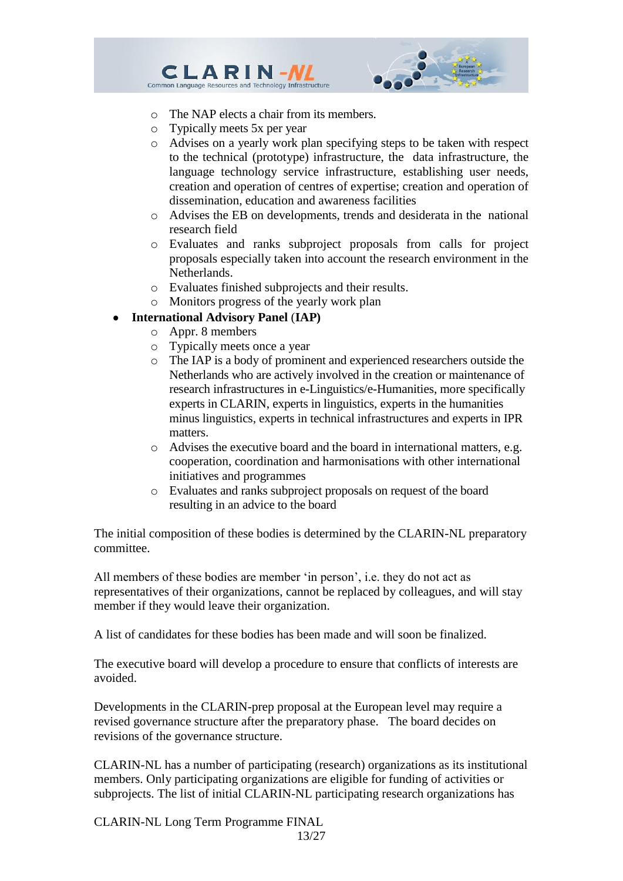

- o The NAP elects a chair from its members.
- o Typically meets 5x per year

CLARIN-*NL* Common Language Resources and Technology Infrastructure

- o Advises on a yearly work plan specifying steps to be taken with respect to the technical (prototype) infrastructure, the data infrastructure, the language technology service infrastructure, establishing user needs, creation and operation of centres of expertise; creation and operation of dissemination, education and awareness facilities
- o Advises the EB on developments, trends and desiderata in the national research field
- o Evaluates and ranks subproject proposals from calls for project proposals especially taken into account the research environment in the Netherlands.
- o Evaluates finished subprojects and their results.
- o Monitors progress of the yearly work plan

#### **International Advisory Panel** (**IAP)**

- o Appr. 8 members
- o Typically meets once a year
- o The IAP is a body of prominent and experienced researchers outside the Netherlands who are actively involved in the creation or maintenance of research infrastructures in e-Linguistics/e-Humanities, more specifically experts in CLARIN, experts in linguistics, experts in the humanities minus linguistics, experts in technical infrastructures and experts in IPR matters.
- o Advises the executive board and the board in international matters, e.g. cooperation, coordination and harmonisations with other international initiatives and programmes
- o Evaluates and ranks subproject proposals on request of the board resulting in an advice to the board

The initial composition of these bodies is determined by the CLARIN-NL preparatory committee.

All members of these bodies are member 'in person', i.e. they do not act as representatives of their organizations, cannot be replaced by colleagues, and will stay member if they would leave their organization.

A list of candidates for these bodies has been made and will soon be finalized.

The executive board will develop a procedure to ensure that conflicts of interests are avoided.

Developments in the CLARIN-prep proposal at the European level may require a revised governance structure after the preparatory phase. The board decides on revisions of the governance structure.

CLARIN-NL has a number of participating (research) organizations as its institutional members. Only participating organizations are eligible for funding of activities or subprojects. The list of initial CLARIN-NL participating research organizations has

CLARIN-NL Long Term Programme FINAL 13/27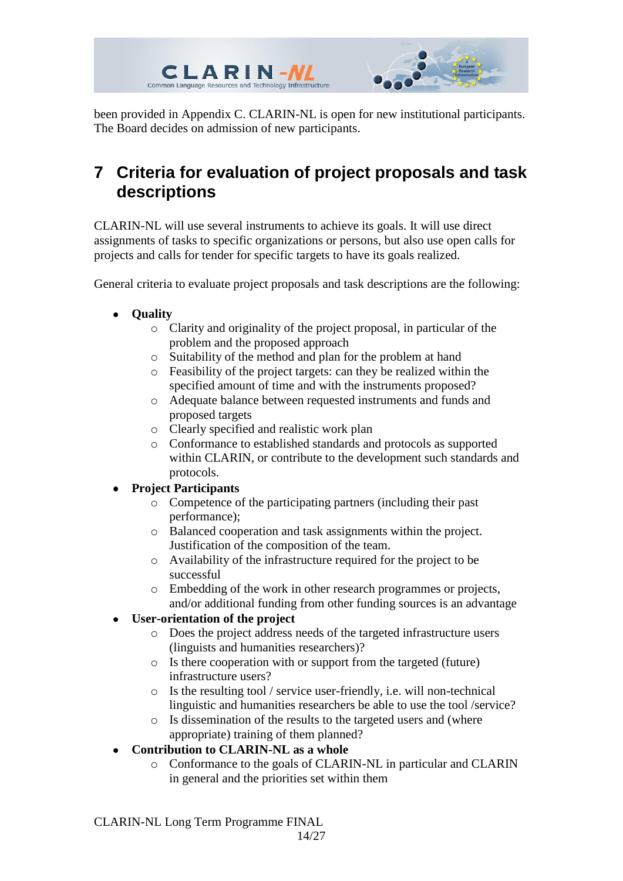

been provided in [Appendix C.](#page-25-0) CLARIN-NL is open for new institutional participants. The Board decides on admission of new participants.

### <span id="page-13-0"></span>**7 Criteria for evaluation of project proposals and task descriptions**

CLARIN-NL will use several instruments to achieve its goals. It will use direct assignments of tasks to specific organizations or persons, but also use open calls for projects and calls for tender for specific targets to have its goals realized.

General criteria to evaluate project proposals and task descriptions are the following:

- **Quality**
	- o Clarity and originality of the project proposal, in particular of the problem and the proposed approach
	- o Suitability of the method and plan for the problem at hand
	- o Feasibility of the project targets: can they be realized within the specified amount of time and with the instruments proposed?
	- o Adequate balance between requested instruments and funds and proposed targets
	- o Clearly specified and realistic work plan
	- o Conformance to established standards and protocols as supported within CLARIN, or contribute to the development such standards and protocols.

#### **Project Participants**

- Competence of the participating partners (including their past performance);
- o Balanced cooperation and task assignments within the project. Justification of the composition of the team.
- o Availability of the infrastructure required for the project to be successful
- o Embedding of the work in other research programmes or projects, and/or additional funding from other funding sources is an advantage

#### **User-orientation of the project**

- o Does the project address needs of the targeted infrastructure users (linguists and humanities researchers)?
- o Is there cooperation with or support from the targeted (future) infrastructure users?
- o Is the resulting tool / service user-friendly, i.e. will non-technical linguistic and humanities researchers be able to use the tool /service?
- o Is dissemination of the results to the targeted users and (where appropriate) training of them planned?
- **Contribution to CLARIN-NL as a whole**
	- o Conformance to the goals of CLARIN-NL in particular and CLARIN in general and the priorities set within them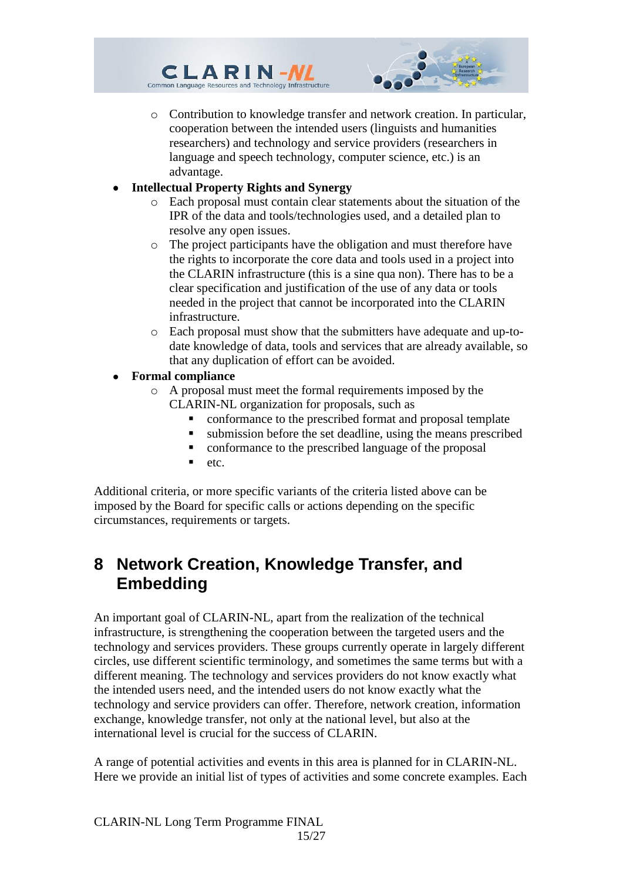



o Contribution to knowledge transfer and network creation. In particular, cooperation between the intended users (linguists and humanities researchers) and technology and service providers (researchers in language and speech technology, computer science, etc.) is an advantage.

#### **Intellectual Property Rights and Synergy**

- o Each proposal must contain clear statements about the situation of the IPR of the data and tools/technologies used, and a detailed plan to resolve any open issues.
- o The project participants have the obligation and must therefore have the rights to incorporate the core data and tools used in a project into the CLARIN infrastructure (this is a sine qua non). There has to be a clear specification and justification of the use of any data or tools needed in the project that cannot be incorporated into the CLARIN infrastructure.
- o Each proposal must show that the submitters have adequate and up-todate knowledge of data, tools and services that are already available, so that any duplication of effort can be avoided.

#### **Formal compliance**

o A proposal must meet the formal requirements imposed by the CLARIN-NL organization for proposals, such as

- conformance to the prescribed format and proposal template
- submission before the set deadline, using the means prescribed
- conformance to the prescribed language of the proposal
- etc.

Additional criteria, or more specific variants of the criteria listed above can be imposed by the Board for specific calls or actions depending on the specific circumstances, requirements or targets.

### <span id="page-14-0"></span>**8 Network Creation, Knowledge Transfer, and Embedding**

An important goal of CLARIN-NL, apart from the realization of the technical infrastructure, is strengthening the cooperation between the targeted users and the technology and services providers. These groups currently operate in largely different circles, use different scientific terminology, and sometimes the same terms but with a different meaning. The technology and services providers do not know exactly what the intended users need, and the intended users do not know exactly what the technology and service providers can offer. Therefore, network creation, information exchange, knowledge transfer, not only at the national level, but also at the international level is crucial for the success of CLARIN.

A range of potential activities and events in this area is planned for in CLARIN-NL. Here we provide an initial list of types of activities and some concrete examples. Each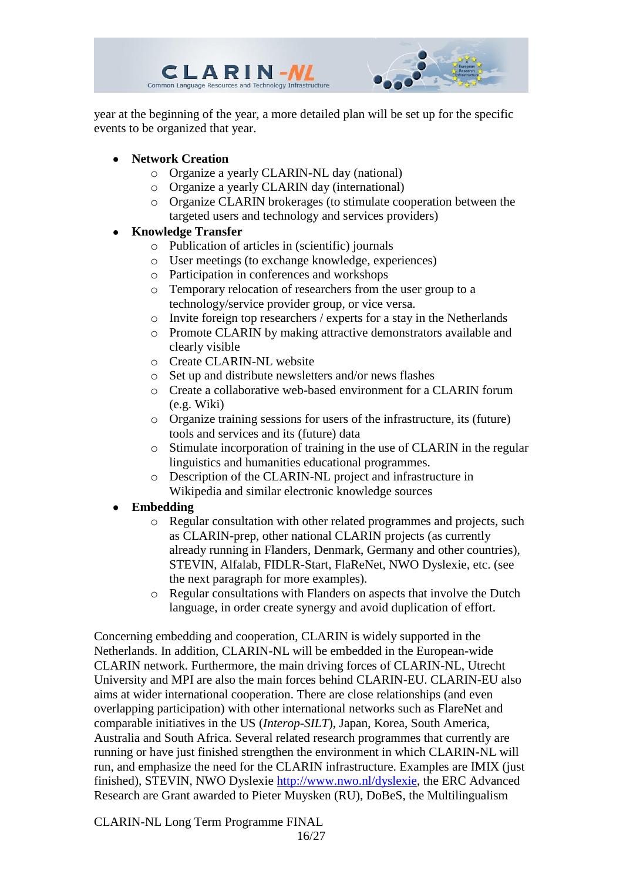

year at the beginning of the year, a more detailed plan will be set up for the specific events to be organized that year.

- **Network Creation**
	- o Organize a yearly CLARIN-NL day (national)
	- o Organize a yearly CLARIN day (international)
	- o Organize CLARIN brokerages (to stimulate cooperation between the targeted users and technology and services providers)

#### **Knowledge Transfer**

- o Publication of articles in (scientific) journals
- o User meetings (to exchange knowledge, experiences)
- o Participation in conferences and workshops
- o Temporary relocation of researchers from the user group to a technology/service provider group, or vice versa.
- o Invite foreign top researchers / experts for a stay in the Netherlands
- o Promote CLARIN by making attractive demonstrators available and clearly visible
- o Create CLARIN-NL website
- o Set up and distribute newsletters and/or news flashes
- o Create a collaborative web-based environment for a CLARIN forum (e.g. Wiki)
- o Organize training sessions for users of the infrastructure, its (future) tools and services and its (future) data
- o Stimulate incorporation of training in the use of CLARIN in the regular linguistics and humanities educational programmes.
- o Description of the CLARIN-NL project and infrastructure in Wikipedia and similar electronic knowledge sources
- **Embedding**
	- o Regular consultation with other related programmes and projects, such as CLARIN-prep, other national CLARIN projects (as currently already running in Flanders, Denmark, Germany and other countries), STEVIN, Alfalab, FIDLR-Start, FlaReNet, NWO Dyslexie, etc. (see the next paragraph for more examples).
	- o Regular consultations with Flanders on aspects that involve the Dutch language, in order create synergy and avoid duplication of effort.

Concerning embedding and cooperation, CLARIN is widely supported in the Netherlands. In addition, CLARIN-NL will be embedded in the European-wide CLARIN network. Furthermore, the main driving forces of CLARIN-NL, Utrecht University and MPI are also the main forces behind CLARIN-EU. CLARIN-EU also aims at wider international cooperation. There are close relationships (and even overlapping participation) with other international networks such as FlareNet and comparable initiatives in the US (*Interop-SILT*), Japan, Korea, South America, Australia and South Africa. Several related research programmes that currently are running or have just finished strengthen the environment in which CLARIN-NL will run, and emphasize the need for the CLARIN infrastructure. Examples are IMIX (just finished), STEVIN, NWO Dyslexie [http://www.nwo.nl/dyslexie,](http://www.nwo.nl/dyslexie) the ERC Advanced Research are Grant awarded to Pieter Muysken (RU), DoBeS, the Multilingualism

CLARIN-NL Long Term Programme FINAL 16/27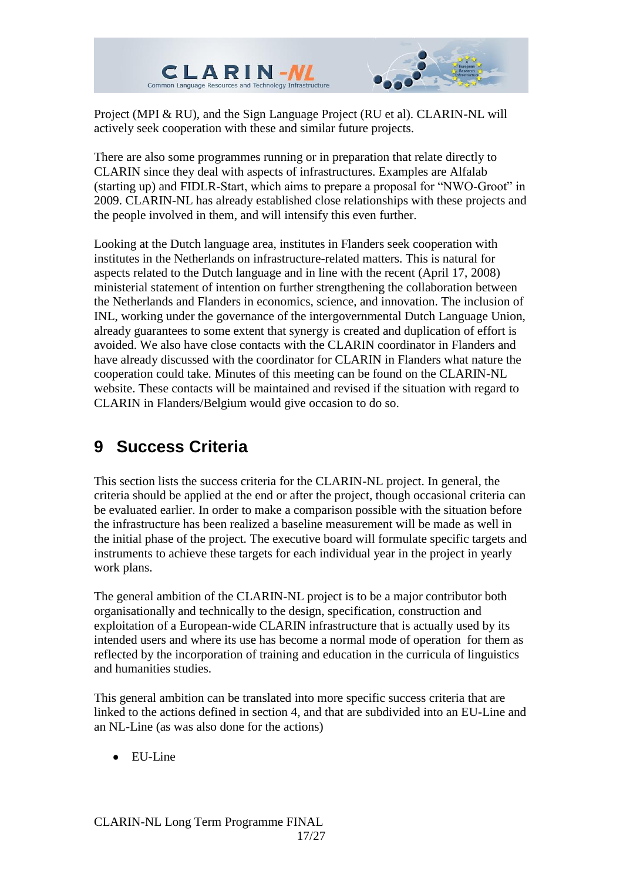

Project (MPI & RU), and the Sign Language Project (RU et al). CLARIN-NL will actively seek cooperation with these and similar future projects.

There are also some programmes running or in preparation that relate directly to CLARIN since they deal with aspects of infrastructures. Examples are Alfalab (starting up) and FIDLR-Start, which aims to prepare a proposal for "NWO-Groot" in 2009. CLARIN-NL has already established close relationships with these projects and the people involved in them, and will intensify this even further.

Looking at the Dutch language area, institutes in Flanders seek cooperation with institutes in the Netherlands on infrastructure-related matters. This is natural for aspects related to the Dutch language and in line with the recent (April 17, 2008) ministerial statement of intention on further strengthening the collaboration between the Netherlands and Flanders in economics, science, and innovation. The inclusion of INL, working under the governance of the intergovernmental Dutch Language Union, already guarantees to some extent that synergy is created and duplication of effort is avoided. We also have close contacts with the CLARIN coordinator in Flanders and have already discussed with the coordinator for CLARIN in Flanders what nature the cooperation could take. Minutes of this meeting can be found on the CLARIN-NL website. These contacts will be maintained and revised if the situation with regard to CLARIN in Flanders/Belgium would give occasion to do so.

### <span id="page-16-0"></span>**9 Success Criteria**

This section lists the success criteria for the CLARIN-NL project. In general, the criteria should be applied at the end or after the project, though occasional criteria can be evaluated earlier. In order to make a comparison possible with the situation before the infrastructure has been realized a baseline measurement will be made as well in the initial phase of the project. The executive board will formulate specific targets and instruments to achieve these targets for each individual year in the project in yearly work plans.

The general ambition of the CLARIN-NL project is to be a major contributor both organisationally and technically to the design, specification, construction and exploitation of a European-wide CLARIN infrastructure that is actually used by its intended users and where its use has become a normal mode of operation for them as reflected by the incorporation of training and education in the curricula of linguistics and humanities studies.

This general ambition can be translated into more specific success criteria that are linked to the actions defined in section [4,](#page-7-0) and that are subdivided into an EU-Line and an NL-Line (as was also done for the actions)

EU-Line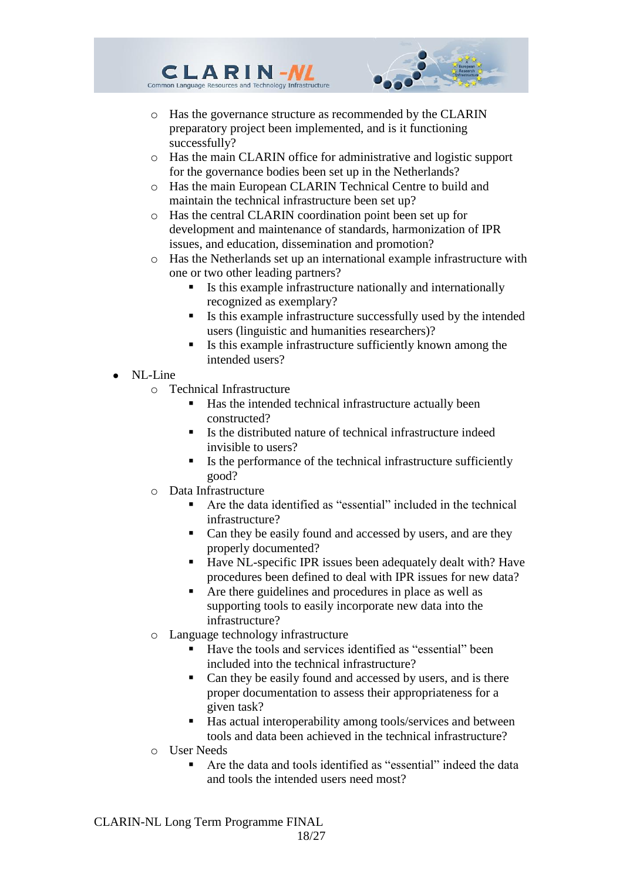

- o Has the governance structure as recommended by the CLARIN preparatory project been implemented, and is it functioning successfully?
- o Has the main CLARIN office for administrative and logistic support for the governance bodies been set up in the Netherlands?
- o Has the main European CLARIN Technical Centre to build and maintain the technical infrastructure been set up?
- o Has the central CLARIN coordination point been set up for development and maintenance of standards, harmonization of IPR issues, and education, dissemination and promotion?
- o Has the Netherlands set up an international example infrastructure with one or two other leading partners?
	- Is this example infrastructure nationally and internationally recognized as exemplary?
	- Is this example infrastructure successfully used by the intended users (linguistic and humanities researchers)?
	- Is this example infrastructure sufficiently known among the intended users?
- NL-Line
	- o Technical Infrastructure

CLARIN-*NL* Common Language Resources and Technology Infrastructure

- Has the intended technical infrastructure actually been constructed?
- Is the distributed nature of technical infrastructure indeed invisible to users?
- Is the performance of the technical infrastructure sufficiently good?
- o Data Infrastructure
	- Are the data identified as "essential" included in the technical infrastructure?
	- Can they be easily found and accessed by users, and are they properly documented?
	- Have NL-specific IPR issues been adequately dealt with? Have procedures been defined to deal with IPR issues for new data?
	- Are there guidelines and procedures in place as well as supporting tools to easily incorporate new data into the infrastructure?
- o Language technology infrastructure
	- Have the tools and services identified as "essential" been included into the technical infrastructure?
	- Can they be easily found and accessed by users, and is there proper documentation to assess their appropriateness for a given task?
	- Has actual interoperability among tools/services and between tools and data been achieved in the technical infrastructure?
- o User Needs
	- Are the data and tools identified as "essential" indeed the data and tools the intended users need most?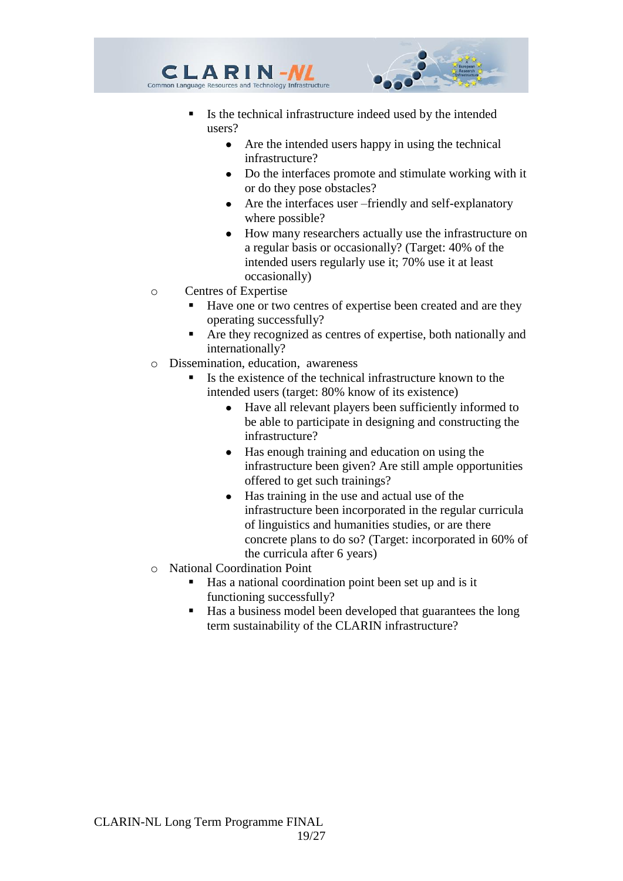

- Is the technical infrastructure indeed used by the intended users?
	- Are the intended users happy in using the technical infrastructure?
	- Do the interfaces promote and stimulate working with it or do they pose obstacles?
	- Are the interfaces user –friendly and self-explanatory where possible?
	- How many researchers actually use the infrastructure on a regular basis or occasionally? (Target: 40% of the intended users regularly use it; 70% use it at least occasionally)
- o Centres of Expertise

CLARIN-*NL* Common Language Resources and Technology Infrastructure

- Have one or two centres of expertise been created and are they operating successfully?
- Are they recognized as centres of expertise, both nationally and internationally?
- o Dissemination, education, awareness
	- Is the existence of the technical infrastructure known to the intended users (target: 80% know of its existence)
		- Have all relevant players been sufficiently informed to  $\bullet$ be able to participate in designing and constructing the infrastructure?
		- Has enough training and education on using the infrastructure been given? Are still ample opportunities offered to get such trainings?
		- Has training in the use and actual use of the infrastructure been incorporated in the regular curricula of linguistics and humanities studies, or are there concrete plans to do so? (Target: incorporated in 60% of the curricula after 6 years)
- o National Coordination Point
	- Has a national coordination point been set up and is it functioning successfully?
	- Has a business model been developed that guarantees the long term sustainability of the CLARIN infrastructure?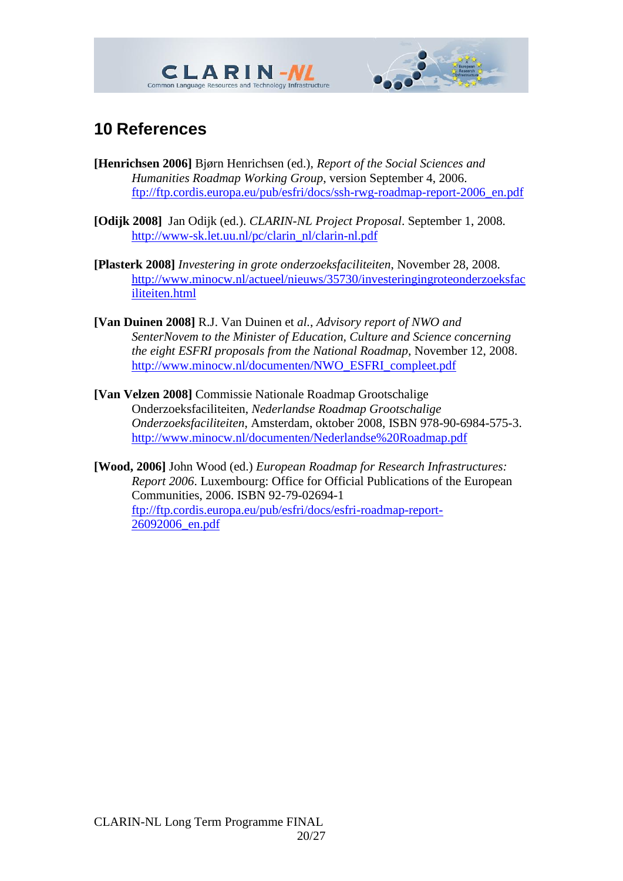



### <span id="page-19-0"></span>**10 References**

- **[Henrichsen 2006]** Bjørn Henrichsen (ed.), *Report of the Social Sciences and Humanities Roadmap Working Group*, version September 4, 2006. [ftp://ftp.cordis.europa.eu/pub/esfri/docs/ssh-rwg-roadmap-report-2006\\_en.pdf](ftp://ftp.cordis.europa.eu/pub/esfri/docs/ssh-rwg-roadmap-report-2006_en.pdf)
- **[Odijk 2008]** Jan Odijk (ed.). *CLARIN-NL Project Proposal*. September 1, 2008. [http://www-sk.let.uu.nl/pc/clarin\\_nl/clarin-nl.pdf](http://www-sk.let.uu.nl/pc/clarin_nl/clarin-nl.pdf)
- **[Plasterk 2008]** *Investering in grote onderzoeksfaciliteiten*, November 28, 2008. [http://www.minocw.nl/actueel/nieuws/35730/investeringingroteonderzoeksfac](http://www.minocw.nl/actueel/nieuws/35730/investeringingroteonderzoeksfaciliteiten.html) [iliteiten.html](http://www.minocw.nl/actueel/nieuws/35730/investeringingroteonderzoeksfaciliteiten.html)
- **[Van Duinen 2008]** R.J. Van Duinen et *al.*, *Advisory report of NWO and SenterNovem to the Minister of Education, Culture and Science concerning the eight ESFRI proposals from the National Roadmap*, November 12, 2008. [http://www.minocw.nl/documenten/NWO\\_ESFRI\\_compleet.pdf](http://www.minocw.nl/documenten/NWO_ESFRI_compleet.pdf)
- **[Van Velzen 2008]** Commissie Nationale Roadmap Grootschalige Onderzoeksfaciliteiten, *Nederlandse Roadmap Grootschalige Onderzoeksfaciliteiten*, Amsterdam, oktober 2008, ISBN 978-90-6984-575-3. <http://www.minocw.nl/documenten/Nederlandse%20Roadmap.pdf>
- **[Wood, 2006]** John Wood (ed.) *European Roadmap for Research Infrastructures: Report 2006*. Luxembourg: Office for Official Publications of the European Communities, 2006. ISBN 92-79-02694-1 [ftp://ftp.cordis.europa.eu/pub/esfri/docs/esfri-roadmap-report-](ftp://ftp.cordis.europa.eu/pub/esfri/docs/esfri-roadmap-report-26092006_en.pdf)[26092006\\_en.pdf](ftp://ftp.cordis.europa.eu/pub/esfri/docs/esfri-roadmap-report-26092006_en.pdf)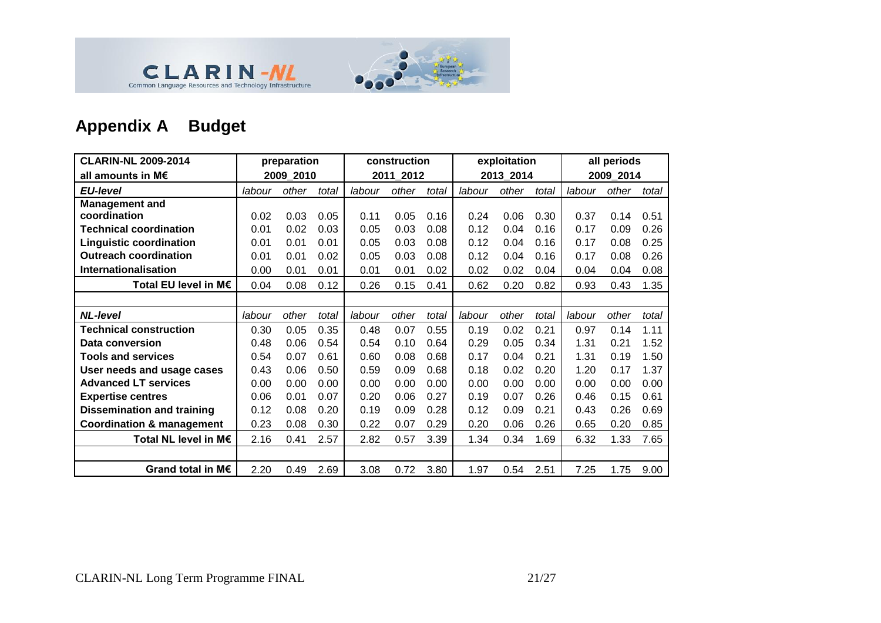

# **Appendix A Budget**

**CLARIM-MAN** 

<span id="page-20-0"></span>

| <b>CLARIN-NL 2009-2014</b>           | preparation<br>construction |           |       | exploitation |           |       | all periods |       |           |        |       |       |
|--------------------------------------|-----------------------------|-----------|-------|--------------|-----------|-------|-------------|-------|-----------|--------|-------|-------|
| all amounts in $M \in$               |                             | 2009 2010 |       |              | 2011 2012 |       | 2013 2014   |       | 2009 2014 |        |       |       |
| <b>EU-level</b>                      | labour                      | other     | total | labour       | other     | total | labour      | other | total     | labour | other | total |
| <b>Management and</b>                |                             |           |       |              |           |       |             |       |           |        |       |       |
| coordination                         | 0.02                        | 0.03      | 0.05  | 0.11         | 0.05      | 0.16  | 0.24        | 0.06  | 0.30      | 0.37   | 0.14  | 0.51  |
| <b>Technical coordination</b>        | 0.01                        | 0.02      | 0.03  | 0.05         | 0.03      | 0.08  | 0.12        | 0.04  | 0.16      | 0.17   | 0.09  | 0.26  |
| <b>Linguistic coordination</b>       | 0.01                        | 0.01      | 0.01  | 0.05         | 0.03      | 0.08  | 0.12        | 0.04  | 0.16      | 0.17   | 0.08  | 0.25  |
| <b>Outreach coordination</b>         | 0.01                        | 0.01      | 0.02  | 0.05         | 0.03      | 0.08  | 0.12        | 0.04  | 0.16      | 0.17   | 0.08  | 0.26  |
| Internationalisation                 | 0.00                        | 0.01      | 0.01  | 0.01         | 0.01      | 0.02  | 0.02        | 0.02  | 0.04      | 0.04   | 0.04  | 0.08  |
| Total EU level in M€                 | 0.04                        | 0.08      | 0.12  | 0.26         | 0.15      | 0.41  | 0.62        | 0.20  | 0.82      | 0.93   | 0.43  | 1.35  |
|                                      |                             |           |       |              |           |       |             |       |           |        |       |       |
| <b>NL-level</b>                      | labour                      | other     | total | labour       | other     | total | labour      | other | total     | labour | other | total |
| <b>Technical construction</b>        | 0.30                        | 0.05      | 0.35  | 0.48         | 0.07      | 0.55  | 0.19        | 0.02  | 0.21      | 0.97   | 0.14  | 1.11  |
| Data conversion                      | 0.48                        | 0.06      | 0.54  | 0.54         | 0.10      | 0.64  | 0.29        | 0.05  | 0.34      | 1.31   | 0.21  | 1.52  |
| <b>Tools and services</b>            | 0.54                        | 0.07      | 0.61  | 0.60         | 0.08      | 0.68  | 0.17        | 0.04  | 0.21      | 1.31   | 0.19  | 1.50  |
| User needs and usage cases           | 0.43                        | 0.06      | 0.50  | 0.59         | 0.09      | 0.68  | 0.18        | 0.02  | 0.20      | 1.20   | 0.17  | 1.37  |
| <b>Advanced LT services</b>          | 0.00                        | 0.00      | 0.00  | 0.00         | 0.00      | 0.00  | 0.00        | 0.00  | 0.00      | 0.00   | 0.00  | 0.00  |
| <b>Expertise centres</b>             | 0.06                        | 0.01      | 0.07  | 0.20         | 0.06      | 0.27  | 0.19        | 0.07  | 0.26      | 0.46   | 0.15  | 0.61  |
| <b>Dissemination and training</b>    | 0.12                        | 0.08      | 0.20  | 0.19         | 0.09      | 0.28  | 0.12        | 0.09  | 0.21      | 0.43   | 0.26  | 0.69  |
| <b>Coordination &amp; management</b> | 0.23                        | 0.08      | 0.30  | 0.22         | 0.07      | 0.29  | 0.20        | 0.06  | 0.26      | 0.65   | 0.20  | 0.85  |
| Total NL level in M€                 | 2.16                        | 0.41      | 2.57  | 2.82         | 0.57      | 3.39  | 1.34        | 0.34  | 1.69      | 6.32   | 1.33  | 7.65  |
|                                      |                             |           |       |              |           |       |             |       |           |        |       |       |
| Grand total in M€                    | 2.20                        | 0.49      | 2.69  | 3.08         | 0.72      | 3.80  | 1.97        | 0.54  | 2.51      | 7.25   | 1.75  | 9.00  |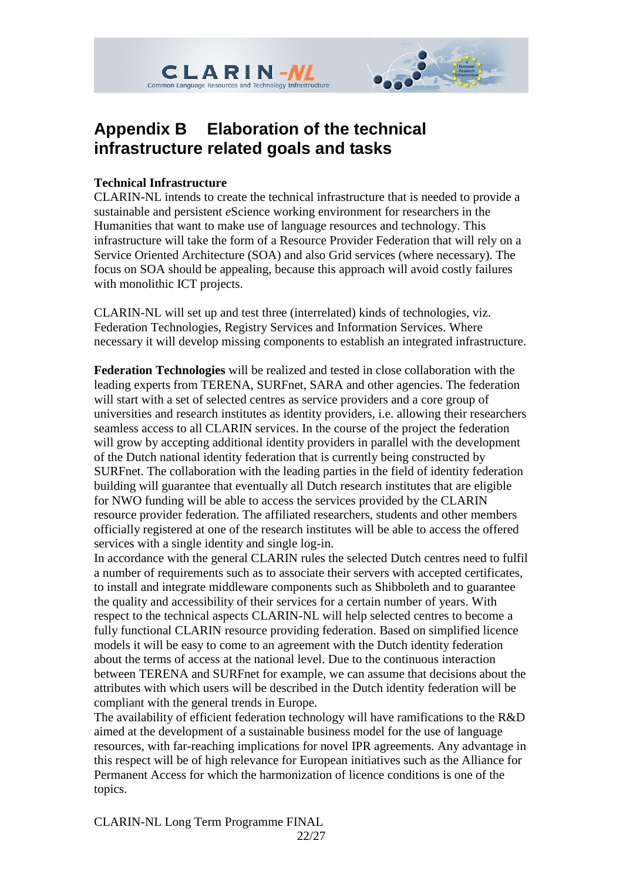

### <span id="page-21-0"></span>**Appendix B Elaboration of the technical infrastructure related goals and tasks**

CLARIN-A Common Language Resources and Technology Inf

#### **Technical Infrastructure**

CLARIN-NL intends to create the technical infrastructure that is needed to provide a sustainable and persistent *e*Science working environment for researchers in the Humanities that want to make use of language resources and technology. This infrastructure will take the form of a Resource Provider Federation that will rely on a Service Oriented Architecture (SOA) and also Grid services (where necessary). The focus on SOA should be appealing, because this approach will avoid costly failures with monolithic ICT projects.

CLARIN-NL will set up and test three (interrelated) kinds of technologies, viz. Federation Technologies, Registry Services and Information Services. Where necessary it will develop missing components to establish an integrated infrastructure.

**Federation Technologies** will be realized and tested in close collaboration with the leading experts from TERENA, SURFnet, SARA and other agencies. The federation will start with a set of selected centres as service providers and a core group of universities and research institutes as identity providers, i.e. allowing their researchers seamless access to all CLARIN services. In the course of the project the federation will grow by accepting additional identity providers in parallel with the development of the Dutch national identity federation that is currently being constructed by SURFnet. The collaboration with the leading parties in the field of identity federation building will guarantee that eventually all Dutch research institutes that are eligible for NWO funding will be able to access the services provided by the CLARIN resource provider federation. The affiliated researchers, students and other members officially registered at one of the research institutes will be able to access the offered services with a single identity and single log-in.

In accordance with the general CLARIN rules the selected Dutch centres need to fulfil a number of requirements such as to associate their servers with accepted certificates, to install and integrate middleware components such as Shibboleth and to guarantee the quality and accessibility of their services for a certain number of years. With respect to the technical aspects CLARIN-NL will help selected centres to become a fully functional CLARIN resource providing federation. Based on simplified licence models it will be easy to come to an agreement with the Dutch identity federation about the terms of access at the national level. Due to the continuous interaction between TERENA and SURFnet for example, we can assume that decisions about the attributes with which users will be described in the Dutch identity federation will be compliant with the general trends in Europe.

The availability of efficient federation technology will have ramifications to the R&D aimed at the development of a sustainable business model for the use of language resources, with far-reaching implications for novel IPR agreements. Any advantage in this respect will be of high relevance for European initiatives such as the Alliance for Permanent Access for which the harmonization of licence conditions is one of the topics.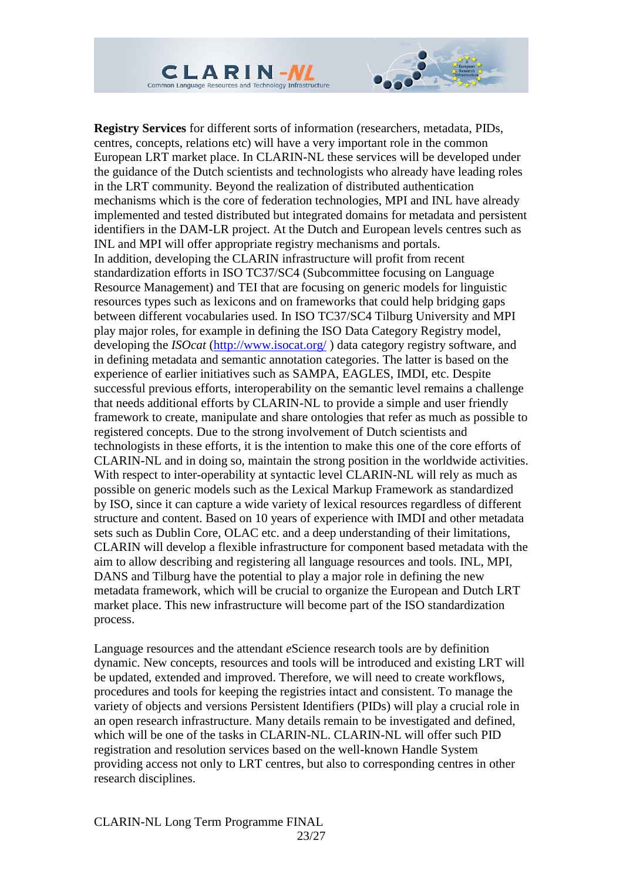



**Registry Services** for different sorts of information (researchers, metadata, PIDs, centres, concepts, relations etc) will have a very important role in the common European LRT market place. In CLARIN-NL these services will be developed under the guidance of the Dutch scientists and technologists who already have leading roles in the LRT community. Beyond the realization of distributed authentication mechanisms which is the core of federation technologies, MPI and INL have already implemented and tested distributed but integrated domains for metadata and persistent identifiers in the DAM-LR project. At the Dutch and European levels centres such as INL and MPI will offer appropriate registry mechanisms and portals. In addition, developing the CLARIN infrastructure will profit from recent standardization efforts in ISO TC37/SC4 (Subcommittee focusing on Language Resource Management) and TEI that are focusing on generic models for linguistic resources types such as lexicons and on frameworks that could help bridging gaps between different vocabularies used. In ISO TC37/SC4 Tilburg University and MPI play major roles, for example in defining the ISO Data Category Registry model, developing the *ISOcat* [\(http://www.isocat.org/](http://www.isocat.org/) ) data category registry software, and in defining metadata and semantic annotation categories. The latter is based on the experience of earlier initiatives such as SAMPA, EAGLES, IMDI, etc. Despite successful previous efforts, interoperability on the semantic level remains a challenge that needs additional efforts by CLARIN-NL to provide a simple and user friendly framework to create, manipulate and share ontologies that refer as much as possible to registered concepts. Due to the strong involvement of Dutch scientists and technologists in these efforts, it is the intention to make this one of the core efforts of CLARIN-NL and in doing so, maintain the strong position in the worldwide activities. With respect to inter-operability at syntactic level CLARIN-NL will rely as much as possible on generic models such as the Lexical Markup Framework as standardized by ISO, since it can capture a wide variety of lexical resources regardless of different structure and content. Based on 10 years of experience with IMDI and other metadata sets such as Dublin Core, OLAC etc. and a deep understanding of their limitations, CLARIN will develop a flexible infrastructure for component based metadata with the aim to allow describing and registering all language resources and tools. INL, MPI, DANS and Tilburg have the potential to play a major role in defining the new metadata framework, which will be crucial to organize the European and Dutch LRT market place. This new infrastructure will become part of the ISO standardization process.

Language resources and the attendant *e*Science research tools are by definition dynamic. New concepts, resources and tools will be introduced and existing LRT will be updated, extended and improved. Therefore, we will need to create workflows, procedures and tools for keeping the registries intact and consistent. To manage the variety of objects and versions Persistent Identifiers (PIDs) will play a crucial role in an open research infrastructure. Many details remain to be investigated and defined, which will be one of the tasks in CLARIN-NL. CLARIN-NL will offer such PID registration and resolution services based on the well-known Handle System providing access not only to LRT centres, but also to corresponding centres in other research disciplines.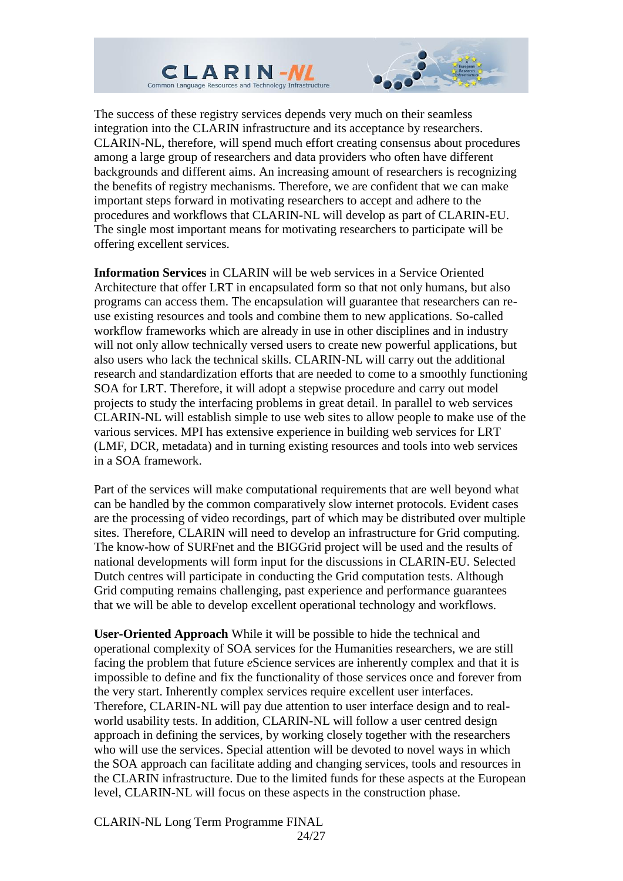



The success of these registry services depends very much on their seamless integration into the CLARIN infrastructure and its acceptance by researchers. CLARIN-NL, therefore, will spend much effort creating consensus about procedures among a large group of researchers and data providers who often have different backgrounds and different aims. An increasing amount of researchers is recognizing the benefits of registry mechanisms. Therefore, we are confident that we can make important steps forward in motivating researchers to accept and adhere to the procedures and workflows that CLARIN-NL will develop as part of CLARIN-EU. The single most important means for motivating researchers to participate will be offering excellent services.

**Information Services** in CLARIN will be web services in a Service Oriented Architecture that offer LRT in encapsulated form so that not only humans, but also programs can access them. The encapsulation will guarantee that researchers can reuse existing resources and tools and combine them to new applications. So-called workflow frameworks which are already in use in other disciplines and in industry will not only allow technically versed users to create new powerful applications, but also users who lack the technical skills. CLARIN-NL will carry out the additional research and standardization efforts that are needed to come to a smoothly functioning SOA for LRT. Therefore, it will adopt a stepwise procedure and carry out model projects to study the interfacing problems in great detail. In parallel to web services CLARIN-NL will establish simple to use web sites to allow people to make use of the various services. MPI has extensive experience in building web services for LRT (LMF, DCR, metadata) and in turning existing resources and tools into web services in a SOA framework.

Part of the services will make computational requirements that are well beyond what can be handled by the common comparatively slow internet protocols. Evident cases are the processing of video recordings, part of which may be distributed over multiple sites. Therefore, CLARIN will need to develop an infrastructure for Grid computing. The know-how of SURFnet and the BIGGrid project will be used and the results of national developments will form input for the discussions in CLARIN-EU. Selected Dutch centres will participate in conducting the Grid computation tests. Although Grid computing remains challenging, past experience and performance guarantees that we will be able to develop excellent operational technology and workflows.

**User-Oriented Approach** While it will be possible to hide the technical and operational complexity of SOA services for the Humanities researchers, we are still facing the problem that future *e*Science services are inherently complex and that it is impossible to define and fix the functionality of those services once and forever from the very start. Inherently complex services require excellent user interfaces. Therefore, CLARIN-NL will pay due attention to user interface design and to realworld usability tests. In addition, CLARIN-NL will follow a user centred design approach in defining the services, by working closely together with the researchers who will use the services. Special attention will be devoted to novel ways in which the SOA approach can facilitate adding and changing services, tools and resources in the CLARIN infrastructure. Due to the limited funds for these aspects at the European level, CLARIN-NL will focus on these aspects in the construction phase.

CLARIN-NL Long Term Programme FINAL 24/27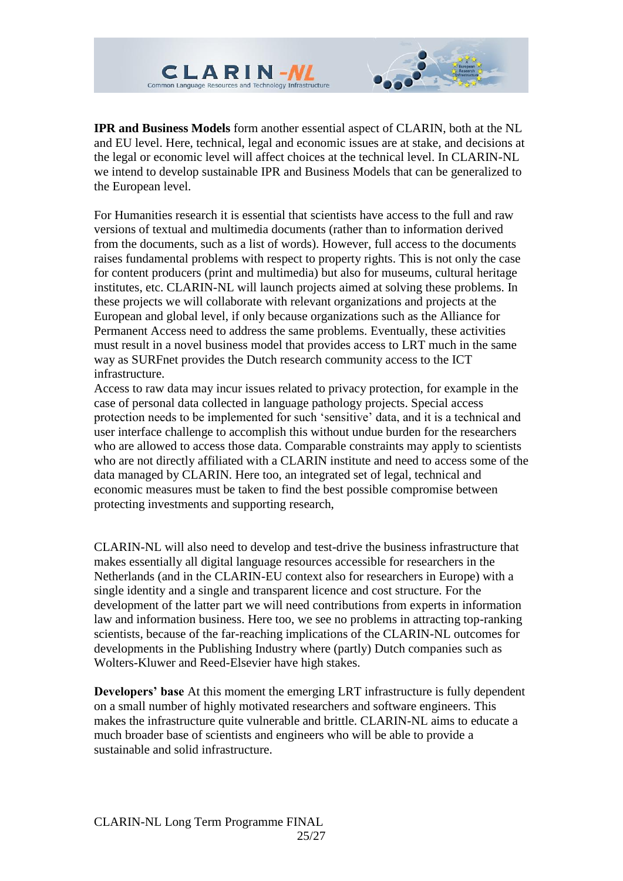

**IPR and Business Models** form another essential aspect of CLARIN, both at the NL and EU level. Here, technical, legal and economic issues are at stake, and decisions at the legal or economic level will affect choices at the technical level. In CLARIN-NL we intend to develop sustainable IPR and Business Models that can be generalized to the European level.

For Humanities research it is essential that scientists have access to the full and raw versions of textual and multimedia documents (rather than to information derived from the documents, such as a list of words). However, full access to the documents raises fundamental problems with respect to property rights. This is not only the case for content producers (print and multimedia) but also for museums, cultural heritage institutes, etc. CLARIN-NL will launch projects aimed at solving these problems. In these projects we will collaborate with relevant organizations and projects at the European and global level, if only because organizations such as the Alliance for Permanent Access need to address the same problems. Eventually, these activities must result in a novel business model that provides access to LRT much in the same way as SURFnet provides the Dutch research community access to the ICT infrastructure.

Access to raw data may incur issues related to privacy protection, for example in the case of personal data collected in language pathology projects. Special access protection needs to be implemented for such "sensitive" data, and it is a technical and user interface challenge to accomplish this without undue burden for the researchers who are allowed to access those data. Comparable constraints may apply to scientists who are not directly affiliated with a CLARIN institute and need to access some of the data managed by CLARIN. Here too, an integrated set of legal, technical and economic measures must be taken to find the best possible compromise between protecting investments and supporting research,

CLARIN-NL will also need to develop and test-drive the business infrastructure that makes essentially all digital language resources accessible for researchers in the Netherlands (and in the CLARIN-EU context also for researchers in Europe) with a single identity and a single and transparent licence and cost structure. For the development of the latter part we will need contributions from experts in information law and information business. Here too, we see no problems in attracting top-ranking scientists, because of the far-reaching implications of the CLARIN-NL outcomes for developments in the Publishing Industry where (partly) Dutch companies such as Wolters-Kluwer and Reed-Elsevier have high stakes.

**Developers' base** At this moment the emerging LRT infrastructure is fully dependent on a small number of highly motivated researchers and software engineers. This makes the infrastructure quite vulnerable and brittle. CLARIN-NL aims to educate a much broader base of scientists and engineers who will be able to provide a sustainable and solid infrastructure.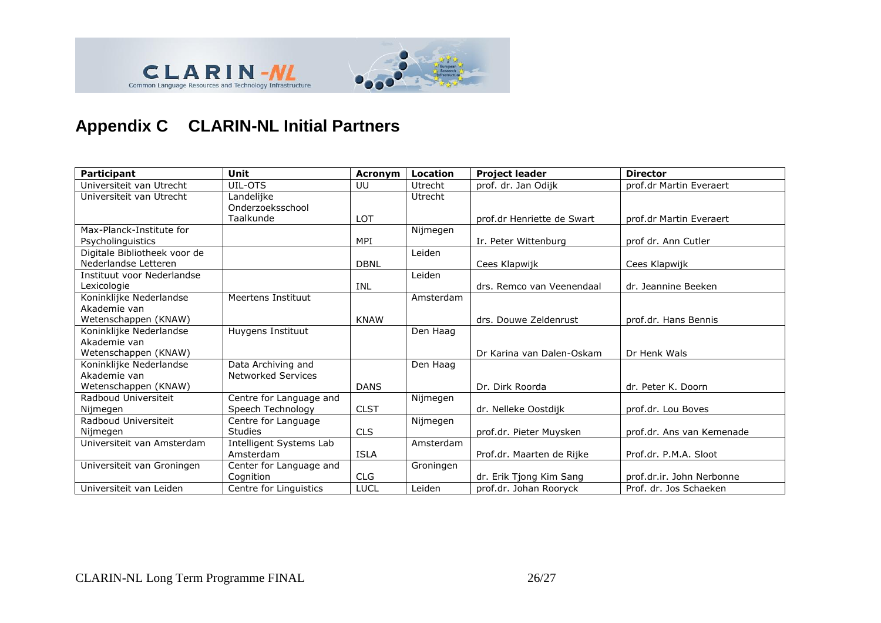

# **Appendix C CLARIN-NL Initial Partners**

<span id="page-25-0"></span>

| Participant                  | Unit                      | Acronym     | Location  | <b>Project leader</b>      | <b>Director</b>           |
|------------------------------|---------------------------|-------------|-----------|----------------------------|---------------------------|
| Universiteit van Utrecht     | UIL-OTS                   | UU          | Utrecht   | prof. dr. Jan Odijk        | prof.dr Martin Everaert   |
| Universiteit van Utrecht     | Landelijke                |             | Utrecht   |                            |                           |
|                              | Onderzoeksschool          |             |           |                            |                           |
|                              | Taalkunde                 | <b>LOT</b>  |           | prof.dr Henriette de Swart | prof.dr Martin Everaert   |
| Max-Planck-Institute for     |                           |             | Nijmegen  |                            |                           |
| Psycholinguistics            |                           | MPI         |           | Ir. Peter Wittenburg       | prof dr. Ann Cutler       |
| Digitale Bibliotheek voor de |                           |             | Leiden    |                            |                           |
| Nederlandse Letteren         |                           | <b>DBNL</b> |           | Cees Klapwijk              | Cees Klapwijk             |
| Instituut voor Nederlandse   |                           |             | Leiden    |                            |                           |
| Lexicologie                  |                           | <b>INL</b>  |           | drs. Remco van Veenendaal  | dr. Jeannine Beeken       |
| Koninklijke Nederlandse      | Meertens Instituut        |             | Amsterdam |                            |                           |
| Akademie van                 |                           |             |           |                            |                           |
| Wetenschappen (KNAW)         |                           | <b>KNAW</b> |           | drs. Douwe Zeldenrust      | prof.dr. Hans Bennis      |
| Koninklijke Nederlandse      | Huygens Instituut         |             | Den Haag  |                            |                           |
| Akademie van                 |                           |             |           |                            |                           |
| Wetenschappen (KNAW)         |                           |             |           | Dr Karina van Dalen-Oskam  | Dr Henk Wals              |
| Koninklijke Nederlandse      | Data Archiving and        |             | Den Haag  |                            |                           |
| Akademie van                 | <b>Networked Services</b> |             |           |                            |                           |
| Wetenschappen (KNAW)         |                           | <b>DANS</b> |           | Dr. Dirk Roorda            | dr. Peter K. Doorn        |
| Radboud Universiteit         | Centre for Language and   |             | Nijmegen  |                            |                           |
| Nijmegen                     | Speech Technology         | <b>CLST</b> |           | dr. Nelleke Oostdijk       | prof.dr. Lou Boves        |
| Radboud Universiteit         | Centre for Language       |             | Nijmegen  |                            |                           |
| Nijmegen                     | <b>Studies</b>            | <b>CLS</b>  |           | prof.dr. Pieter Muysken    | prof.dr. Ans van Kemenade |
| Universiteit van Amsterdam   | Intelligent Systems Lab   |             | Amsterdam |                            |                           |
|                              | Amsterdam                 | <b>ISLA</b> |           | Prof.dr. Maarten de Rijke  | Prof.dr. P.M.A. Sloot     |
| Universiteit van Groningen   | Center for Language and   |             | Groningen |                            |                           |
|                              | Cognition                 | <b>CLG</b>  |           | dr. Erik Tjong Kim Sang    | prof.dr.ir. John Nerbonne |
| Universiteit van Leiden      | Centre for Linguistics    | <b>LUCL</b> | Leiden    | prof.dr. Johan Rooryck     | Prof. dr. Jos Schaeken    |